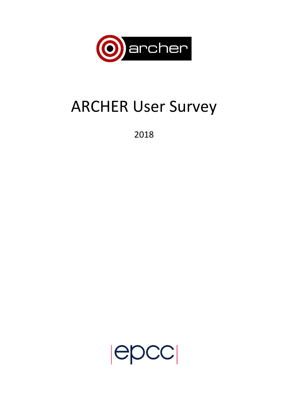

# ARCHER User Survey

2018

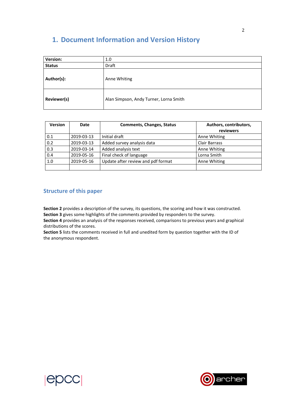## **1. Document Information and Version History**

| Version:      | 1.0                                    |  |  |
|---------------|----------------------------------------|--|--|
| <b>Status</b> | Draft                                  |  |  |
| Author(s):    | Anne Whiting                           |  |  |
| Reviewer(s)   | Alan Simpson, Andy Turner, Lorna Smith |  |  |

| <b>Version</b> | Date       | <b>Comments, Changes, Status</b>   | Authors, contributors,<br>reviewers |  |
|----------------|------------|------------------------------------|-------------------------------------|--|
| 0.1            | 2019-03-13 | Initial draft                      | Anne Whiting                        |  |
| 0.2            | 2019-03-13 | Added survey analysis data         | <b>Clair Barrass</b>                |  |
| 0.3            | 2019-03-14 | Added analysis text                | Anne Whiting                        |  |
| 0.4            | 2019-05-16 | Final check of language            | Lorna Smith                         |  |
| 1.0            | 2019-05-16 | Update after review and pdf format | Anne Whiting                        |  |
|                |            |                                    |                                     |  |

### **Structure of this paper**

**Section 2** provides a description of the survey, its questions, the scoring and how it was constructed. **Section 3** gives some highlights of the comments provided by responders to the survey.

**Section 4** provides an analysis of the responses received, comparisons to previous years and graphical distributions of the scores.

**Section 5** lists the comments received in full and unedited form by question together with the ID of the anonymous respondent.



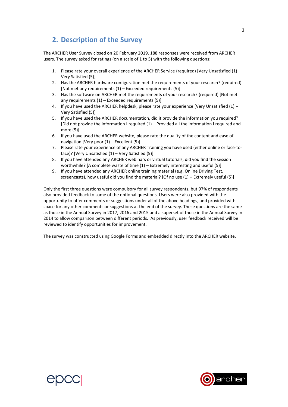## **2. Description of the Survey**

The ARCHER User Survey closed on 20 February 2019. 188 responses were received from ARCHER users. The survey asked for ratings (on a scale of 1 to 5) with the following questions:

- 1. Please rate your overall experience of the ARCHER Service (required) [Very Unsatisfied (1) Very Satisfied (5)]
- 2. Has the ARCHER hardware configuration met the requirements of your research? (required) [Not met any requirements  $(1)$  – Exceeded requirements  $(5)$ ]
- 3. Has the software on ARCHER met the requirements of your research? (required) [Not met any requirements  $(1)$  – Exceeded requirements  $(5)$ ]
- 4. If you have used the ARCHER helpdesk, please rate your experience [Very Unsatisfied (1) Very Satisfied (5)]
- 5. If you have used the ARCHER documentation, did it provide the information you required? [Did not provide the information I required (1) – Provided all the information I required and more (5)]
- 6. If you have used the ARCHER website, please rate the quality of the content and ease of navigation [Very poor (1) – Excellent (5)]
- 7. Please rate your experience of any ARCHER Training you have used (either online or face-toface)? [Very Unsatisfied (1) – Very Satisfied (5)]
- 8. If you have attended any ARCHER webinars or virtual tutorials, did you find the session worthwhile? [A complete waste of time (1) – Extremely interesting and useful (5)]
- 9. If you have attended any ARCHER online training material (e.g. Online Driving Test, screencasts), how useful did you find the material? [Of no use (1) – Extremely useful (5)]

Only the first three questions were compulsory for all survey respondents, but 97% of respondents also provided feedback to some of the optional questions. Users were also provided with the opportunity to offer comments or suggestions under all of the above headings, and provided with space for any other comments or suggestions at the end of the survey. These questions are the same as those in the Annual Survey in 2017, 2016 and 2015 and a superset of those in the Annual Survey in 2014 to allow comparison between different periods. As previously, user feedback received will be reviewed to identify opportunities for improvement.

The survey was constructed using Google Forms and embedded directly into the ARCHER website.



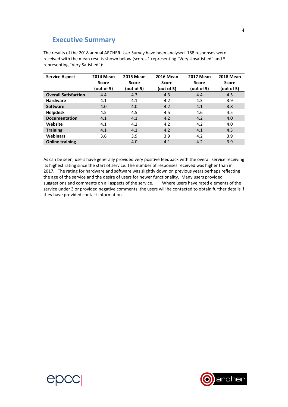## **Executive Summary**

The results of the 2018 annual ARCHER User Survey have been analysed. 188 responses were received with the mean results shown below (scores 1 representing "Very Unsatisfied" and 5 representing "Very Satisfied"):

| <b>Service Aspect</b>       | <b>2014 Mean</b>         | <b>2015 Mean</b> | <b>2016 Mean</b> | <b>2017 Mean</b> | <b>2018 Mean</b> |
|-----------------------------|--------------------------|------------------|------------------|------------------|------------------|
|                             | <b>Score</b>             | <b>Score</b>     | <b>Score</b>     | <b>Score</b>     | <b>Score</b>     |
|                             | (out of 5)               | (out of 5)       | (out of 5)       | (out of 5)       | (out of 5)       |
| <b>Overall Satisfaction</b> | 4.4                      | 4.3              | 4.3              | 4.4              | 4.5              |
| <b>Hardware</b>             | 4.1                      | 4.1              | 4.2              | 4.3              | 3.9              |
| <b>Software</b>             | 4.0                      | 4.0              | 4.2              | 4.1              | 3.8              |
| <b>Helpdesk</b>             | 4.5                      | 4.5              | 4.5              | 4.6              | 4.5              |
| <b>Documentation</b>        | 4.1                      | 4.1              | 4.2              | 4.2              | 4.0              |
| Website                     | 4.1                      | 4.2              | 4.2              | 4.2              | 4.0              |
| <b>Training</b>             | 4.1                      | 4.1              | 4.2              | 4.1              | 4.3              |
| <b>Webinars</b>             | 3.6                      | 3.9              | 3.9              | 4.2              | 3.9              |
| <b>Online training</b>      | $\overline{\phantom{a}}$ | 4.0              | 4.1              | 4.2              | 3.9              |

As can be seen, users have generally provided very positive feedback with the overall service receiving its highest rating since the start of service. The number of responses received was higher than in 2017. The rating for hardware and software was slightly down on previous years perhaps reflecting the age of the service and the desire of users for newer functionality. Many users provided<br>suggestions and comments on all aspects of the service. Where users have rated elements of the suggestions and comments on all aspects of the service. service under 3 or provided negative comments, the users will be contacted to obtain further details if they have provided contact information.



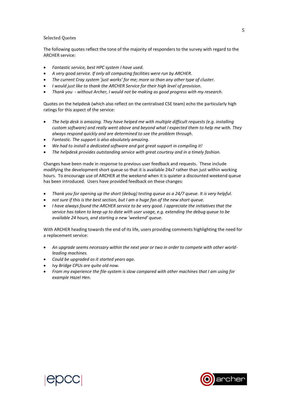#### Selected Quotes

The following quotes reflect the tone of the majority of responders to the survey with regard to the ARCHER service:

- *Fantastic service, best HPC system I have used.*
- *A very good service. If only all computing facilities were run by ARCHER.*
- *The current Cray system 'just works' for me; more so than any other type of cluster.*
- *I would just like to thank the ARCHER Service for their high level of provision.*
- *Thank you - without Archer, I would not be making as good progress with my research.*

Quotes on the helpdesk (which also reflect on the centralised CSE team) echo the particularly high ratings for this aspect of the service:

- *The help desk is amazing. They have helped me with multiple difficult requests (e.g. installing custom software) and really went above and beyond what I expected them to help me with. They always respond quickly and are determined to see the problem through.*
- *Fantastic. The support is also absolutely amazing.*
- *We had to install a dedicated software and got great support in compiling it!*
- *The helpdesk provides outstanding service with great courtesy and in a timely fashion.*

Changes have been made in response to previous user feedback and requests. These include modifying the development short queue so that it is available 24x7 rather than just within working hours. To encourage use of ARCHER at the weekend when it is quieter a discounted weekend queue has been introduced. Users have provided feedback on these changes:

- *Thank you for opening up the short (debug) testing queue as a 24/7 queue. It is very helpful.*
- *not sure if this is the best section, but I am a huge fan of the new short queue.*
- *I have always found the ARCHER service to be very good. I appreciate the initiatives that the service has taken to keep up to date with user usage, e.g. extending the debug queue to be available 24 hours, and starting a new 'weekend' queue.*

With ARCHER heading towards the end of its life, users providing comments highlighting the need for a replacement service:

- *An upgrade seems necessary within the next year or two in order to compete with other worldleading machines.*
- *Could be upgraded as it started years ago.*
- *Ivy Bridge CPUs are quite old now.*
- *From my experience the file-system is slow compared with other machines that I am using for example Hazel Hen.*





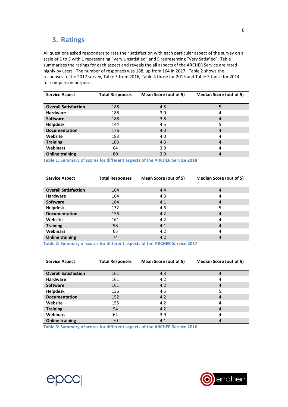## **3. Ratings**

All questions asked responders to rate their satisfaction with each particular aspect of the survey on a scale of 1 to 5 with 1 representing "Very Unsatisfied" and 5 representing "Very Satisfied". [Table](#page-5-0)  summarises the ratings for each aspect and reveals the all aspects of the ARCHER Service are rated highly by users. The number of responses was 188, up from 164 in 2017. Table 2 shows the responses to the 2017 survey, Table 3 from 2016, Table 4 those for 2015 and Table 5 those for 2014 for comparison purposes.

| <b>Service Aspect</b>       | <b>Total Responses</b> | Mean Score (out of 5) | <b>Median Score (out of 5)</b> |
|-----------------------------|------------------------|-----------------------|--------------------------------|
|                             |                        |                       |                                |
| <b>Overall Satisfaction</b> | 188                    | 4.5                   | 5                              |
| <b>Hardware</b>             | 188                    | 3.9                   | 4                              |
| <b>Software</b>             | 188                    | 3.8                   | $\overline{4}$                 |
| <b>Helpdesk</b>             | 144                    | 4.5                   | 5                              |
| <b>Documentation</b>        | 176                    | 4.0                   | $\overline{4}$                 |
| Website                     | 183                    | 4.0                   | 4                              |
| <b>Training</b>             | 103                    | 4.3                   | $\overline{4}$                 |
| <b>Webinars</b>             | 64                     | 3.9                   | 4                              |
| <b>Online training</b>      | 80                     | 3.9                   | 4                              |

**Table 1: Summary of scores for different aspects of the ARCHER Service 2018**

| <b>Service Aspect</b>       | <b>Total Responses</b> | Mean Score (out of 5) | <b>Median Score (out of 5)</b> |
|-----------------------------|------------------------|-----------------------|--------------------------------|
|                             |                        |                       |                                |
| <b>Overall Satisfaction</b> | 164                    | 4.4                   | 4                              |
| <b>Hardware</b>             | 164                    | 4.3                   | 4                              |
| <b>Software</b>             | 164                    | 4.1                   | 4                              |
| <b>Helpdesk</b>             | 132                    | 4.6                   | 5                              |
| <b>Documentation</b>        | 156                    | 4.2                   | 4                              |
| Website                     | 161                    | 4.2                   | 4                              |
| <b>Training</b>             | 98                     | 4.1                   | 4                              |
| <b>Webinars</b>             | 65                     | 4.2                   | 4                              |
| <b>Online training</b>      | 74                     | 4.2                   | 4                              |

**Table 2: Summary of scores for different aspects of the ARCHER Service 2017**

| <b>Service Aspect</b>       | <b>Total Responses</b> | Mean Score (out of 5) | <b>Median Score (out of 5)</b> |
|-----------------------------|------------------------|-----------------------|--------------------------------|
| <b>Overall Satisfaction</b> | 161                    | 4.3                   | 4                              |
| <b>Hardware</b>             | 161                    | 4.2                   | 4                              |
| <b>Software</b>             | 161                    | 4.2                   | 4                              |
| <b>Helpdesk</b>             | 136                    | 4.5                   | 5                              |
| <b>Documentation</b>        | 152                    | 4.2                   | 4                              |
| Website                     | 155                    | 4.2                   | 4                              |
| <b>Training</b>             | 94                     | 4.2                   | 4                              |
| <b>Webinars</b>             | 64                     | 3.9                   | 4                              |
| <b>Online training</b>      | 70                     | 4.1                   | 4                              |

<span id="page-5-0"></span>**Table 3: Summary of scores for different aspects of the ARCHER Service 2016**



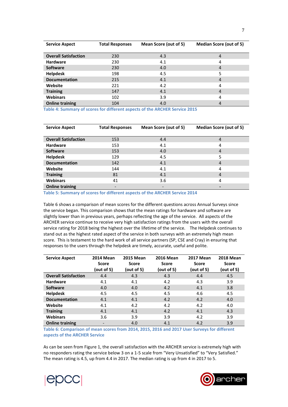| <b>Service Aspect</b>       | <b>Total Responses</b> | Mean Score (out of 5) | <b>Median Score (out of 5)</b> |  |
|-----------------------------|------------------------|-----------------------|--------------------------------|--|
|                             |                        |                       |                                |  |
| <b>Overall Satisfaction</b> | 230                    | 4.3                   | 4                              |  |
| <b>Hardware</b>             | 230                    | 4.1                   | 4                              |  |
| <b>Software</b>             | 230                    | 4.0                   | $\overline{4}$                 |  |
| <b>Helpdesk</b>             | 198                    | 4.5                   | 5                              |  |
| <b>Documentation</b>        | 215                    | 4.1                   | $\overline{4}$                 |  |
| Website                     | 221                    | 4.2                   | 4                              |  |
| <b>Training</b>             | 147                    | 4.1                   | 4                              |  |
| <b>Webinars</b>             | 102                    | 3.9                   | 4                              |  |
| <b>Online training</b>      | 104                    | 4.0                   | 4                              |  |

**Table 4: Summary of scores for different aspects of the ARCHER Service 2015**

| <b>Service Aspect</b>       | <b>Total Responses</b> | Mean Score (out of 5) | <b>Median Score (out of 5)</b> |
|-----------------------------|------------------------|-----------------------|--------------------------------|
|                             |                        |                       |                                |
| <b>Overall Satisfaction</b> | 153                    | 4.4                   | 4                              |
| <b>Hardware</b>             | 153                    | 4.1                   | 4                              |
| <b>Software</b>             | 153                    | 4.0                   | $\overline{a}$                 |
| <b>Helpdesk</b>             | 129                    | 4.5                   | 5                              |
| <b>Documentation</b>        | 142                    | 4.1                   | 4                              |
| Website                     | 144                    | 4.1                   | 4                              |
| <b>Training</b>             | 81                     | 4.1                   | $\overline{4}$                 |
| <b>Webinars</b>             | 41                     | 3.6                   | 4                              |
| <b>Online training</b>      | -                      |                       |                                |

**Table 5: Summary of scores for different aspects of the ARCHER Service 2014**

Table 6 shows a comparison of mean scores for the different questions across Annual Surveys since the service began. This comparison shows that the mean ratings for hardware and software are slightly lower than in previous years, perhaps reflecting the age of the service. All aspects of the ARCHER service continue to receive very high satisfaction ratings from the users with the overall service rating for 2018 being the highest over the lifetime of the service. The Helpdesk continues to stand out as the highest rated aspect of the service in both surveys with an extremely high mean score. This is testament to the hard work of all service partners (SP, CSE and Cray) in ensuring that responses to the users through the helpdesk are timely, accurate, useful and polite.

| <b>Service Aspect</b>       | <b>2014 Mean</b>         | <b>2015 Mean</b> | <b>2016 Mean</b> | <b>2017 Mean</b> | <b>2018 Mean</b> |
|-----------------------------|--------------------------|------------------|------------------|------------------|------------------|
|                             | <b>Score</b>             | <b>Score</b>     | Score            | Score            | <b>Score</b>     |
|                             | (out of 5)               | (out of 5)       | (out of 5)       | (out of 5)       | (out of 5)       |
| <b>Overall Satisfaction</b> | 4.4                      | 4.3              | 4.3              | 4.4              | 4.5              |
| <b>Hardware</b>             | 4.1                      | 4.1              | 4.2              | 4.3              | 3.9              |
| <b>Software</b>             | 4.0                      | 4.0              | 4.2              | 4.1              | 3.8              |
| <b>Helpdesk</b>             | 4.5                      | 4.5              | 4.5              | 4.6              | 4.5              |
| <b>Documentation</b>        | 4.1                      | 4.1              | 4.2              | 4.2              | 4.0              |
| Website                     | 4.1                      | 4.2              | 4.2              | 4.2              | 4.0              |
| <b>Training</b>             | 4.1                      | 4.1              | 4.2              | 4.1              | 4.3              |
| <b>Webinars</b>             | 3.6                      | 3.9              | 3.9              | 4.2              | 3.9              |
| <b>Online training</b>      | $\overline{\phantom{a}}$ | 4.0              | 4.1              | 4.2              | 3.9              |

**Table 6: Comparison of mean scores from 2014, 2015, 2016 and 2017 User Surveys for different aspects of the ARCHER Service**

As can be seen from [Figure 1,](#page-7-0) the overall satisfaction with the ARCHER service is extremely high with no responders rating the service below 3 on a 1-5 scale from "Very Unsatisfied" to "Very Satisfied." The mean rating is 4.5, up from 4.4 in 2017. The median rating is up from 4 in 2017 to 5.



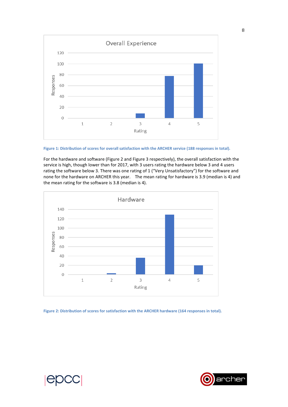

<span id="page-7-0"></span>

For the hardware and software [\(Figure 2](#page-7-1) and [Figure 3](#page-8-0) respectively), the overall satisfaction with the service is high, though lower than for 2017, with 3 users rating the hardware below 3 and 4 users rating the software below 3. There was one rating of 1 ("Very Unsatisfactory") for the software and none for the hardware on ARCHER this year. The mean rating for hardware is 3.9 (median is 4) and the mean rating for the software is 3.8 (median is 4).



<span id="page-7-1"></span>**Figure 2: Distribution of scores for satisfaction with the ARCHER hardware (164 responses in total).**

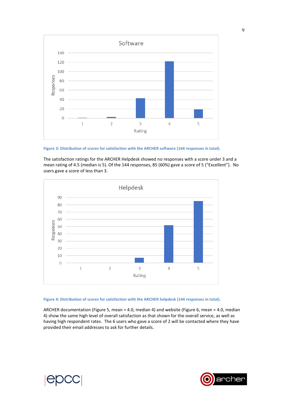

<span id="page-8-0"></span>**Figure 3: Distribution of scores for satisfaction with the ARCHER software (164 responses in total).**

The satisfaction ratings for the ARCHER Helpdesk showed no responses with a score under 3 and a mean rating of 4.5 (median is 5). Of the 144 responses, 85 (60%) gave a score of 5 ("Excellent"). No users gave a score of less than 3.



#### **Figure 4: Distribution of scores for satisfaction with the ARCHER helpdesk (144 responses in total).**

ARCHER documentation (Figure 5, mean = 4.0, median 4) and website (Figure 6, mean = 4.0, median 4) show the same high level of overall satisfaction as that shown for the overall service, as well as having high respondent rates. The 6 users who gave a score of 2 will be contacted where they have provided their email addresses to ask for further details.

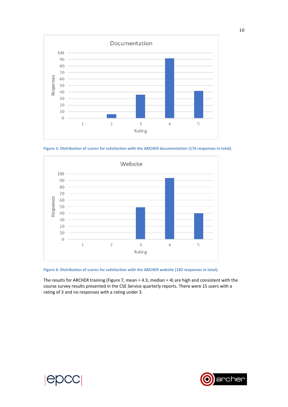

**Figure 5: Distribution of scores for satisfaction with the ARCHER documentation (176 responses in total).**



**Figure 6: Distribution of scores for satisfaction with the ARCHER website (183 responses in total).**

The results for ARCHER training (Figure 7, mean = 4.3, median = 4) are high and consistent with the course survey results presented in the CSE Service quarterly reports. There were 15 users with a rating of 3 and no responses with a rating under 3.

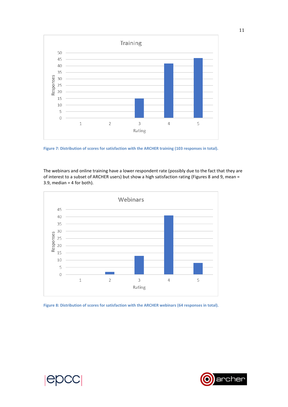

**Figure 7: Distribution of scores for satisfaction with the ARCHER training (103 responses in total).**

The webinars and online training have a lower respondent rate (possibly due to the fact that they are of interest to a subset of ARCHER users) but show a high satisfaction rating (Figures 8 and 9, mean =  $3.9$ , median = 4 for both).



**Figure 8: Distribution of scores for satisfaction with the ARCHER webinars (64 responses in total).**



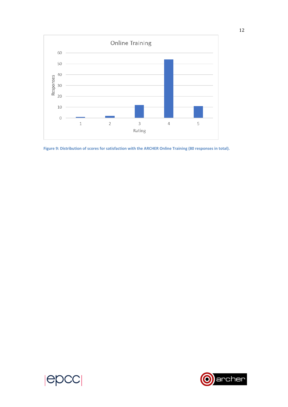

**Figure 9: Distribution of scores for satisfaction with the ARCHER Online Training (80 responses in total).**



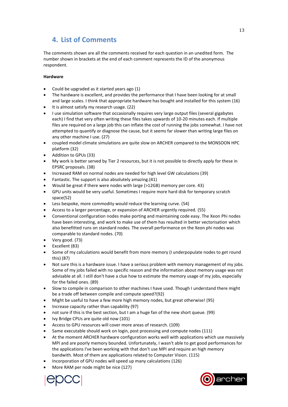## **4. List of Comments**

The comments shown are all the comments received for each question in an unedited form. The number shown in brackets at the end of each comment represents the ID of the anonymous respondent.

#### **Hardware**

- Could be upgraded as it started years ago (1)
- The hardware is excellent, and provides the performance that I have been looking for at small and large scales. I think that appropriate hardware has bought and installed for this system (16)
- It is almost satisfy my research usage. (22)
- I use simulation software that occasionally requires very large output files (several gigabytes each) I find that very often writing these files takes upwards of 10-20 minutes each. If multiple files are required on a large job this can inflate the cost of running the jobs somewhat. I have not attempted to quantify or diagnose the cause, but it seems far slower than writing large files on any other machine I use. (27)
- coupled model climate simulations are quite slow on ARCHER compared to the MONSOON HPC platform (32)
- Addition to GPUs (33)
- My work is better served by Tier 2 resources, but it is not possible to directly apply for these in EPSRC proposals. (38)
- Increased RAM on normal nodes are needed for high level GW calculations (39)
- Fantastic. The support is also absolutely amazing.(41)
- Would be great if there were nodes with large (>12GB) memory per core. 43)
- GPU units would be very useful. Sometimes I require more hard disk for temporary scratch space(52)
- Less bespoke, more commodity would reduce the learning curve. (54)
- Access to a larger percentage, or expansion of ARCHER urgently required. (55)
- Conventional configuration nodes make porting and maintaining code easy. The Xeon Phi nodes have been interesting, and work to make use of them has resulted in better vectorisation which also benefitted runs on standard nodes. The overall performance on the Xeon phi nodes was comparable to standard nodes. (70)
- Very good. (73)
- Excellent (83)
- Some of my calculations would benefit from more memory (I underpopulate nodes to get round this) (87)
- Not sure this is a hardware issue. I have a serious problem with memory management of my jobs. Some of my jobs failed with no specific reason and the information about memory usage was not advisable at all. I still don't have a clue how to estimate the memory usage of my jobs, especially for the failed ones. (89)
- Slow to compile in comparison to other machines I have used. Though I understand there might be a trade off between compile and compute speed?(92)
- Might be useful to have a few more high memory nodes, but great otherwise! (95)
- Increase capacity rather than capability (97)
- not sure if this is the best section, but I am a huge fan of the new short queue. (99)
- Ivy Bridge CPUs are quite old now (101)
- Access to GPU resources will cover more areas of research. (109)
- Same executable should work on login, post processing and compute nodes (111)
- At the moment ARCHER hardware configuration works well with applications which use massively MPI and are poorly memory bounded. Unfortunately, I wasn't able to get good performances for the applications I've been working with that don't use MPI and require an high memory bandwith. Most of them are applications related to Computer Vision. (115)
- Incorporation of GPU nodes will speed up many calculations (126)
- More RAM per node might be nice (127)



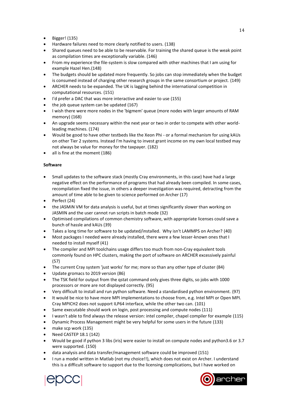- Bigger! (135)
- Hardware failures need to more clearly notified to users. (138)
- Shared queues need to be able to be reservable. For training the shared queue is the weak point as compilation times are exceptionally variable. (146)
- From my experience the file-system is slow compared with other machines that I am using for example Hazel Hen.(148)
- The budgets should be updated more frequently. So jobs can stop immediately when the budget is consumed instead of charging other research groups in the same consortium or project. (149)
- ARCHER needs to be expanded. The UK is lagging behind the international competition in computational resources. (151)
- I'd prefer a DAC that was more interactive and easier to use (155)
- the job queue system can be updated (167)
- I wish there were more nodes in the 'bigmem' queue (more nodes with larger amounts of RAM memory) (168)
- An upgrade seems necessary within the next year or two in order to compete with other worldleading machines. (174)
- Would be good to have other testbeds like the Xeon Phi or a formal mechanism for using kAUs on other Tier 2 systems. Instead I'm having to invest grant income on my own local testbed may not always be value for money for the taxpayer. (182)
- all is fine at the moment (186)

#### **Software**

- Small updates to the software stack (mostly Cray environments, in this case) have had a large negative effect on the performance of programs that had already been compiled. In some cases, recompilation fixed the issue, in others a deeper investigation was required, detracting from the amount of time able to be given to science performed on Archer (17)
- Perfect (24)
- the JASMiN VM for data analysis is useful, but at times significantly slower than working on JASMIN and the user cannot run scripts in batch mode (32)
- Optimised compilations of common chemistry software, with appropriate licenses could save a bunch of hassle and kAUs (39)
- Takes a long time for software to be updated/installed. Why isn't LAMMPS on Archer? (40)
- Most packages I needed were already installed, there were a few lesser-known ones that I needed to install myself (41)
- The compiler and MPI toolchains usage differs too much from non-Cray equivalent tools commonly found on HPC clusters, making the port of software on ARCHER excessively painful (57)
- The current Cray system 'just works' for me; more so than any other type of cluster (84)
- Update gromacs to 2019 version (86)
- The TSK field for output from the qstat command only gives three digits, so jobs with 1000 processors or more are not displayed correctly. (95)
- Very difficult to install and run python software. Need a standardised python environment. (97)
- It would be nice to have more MPI implementations to choose from, e.g. Intel MPI or Open MPI. Cray MPICH2 does not support ILP64 interface, while the other two can. (101)
- Same executable should work on login, post processing and compute nodes (111)
- I wasn't able to find always the release version: intel compiler, chapel compiler for example (115)
- Dynamic Process Management might be very helpful for some users in the future (133)
- make scp work (135)
- Need CASTEP 18.1 (142)
- Would be good if python 3 libs (iris) were easier to install on compute nodes and python3.6 or 3.7 were supported. (150)
- data analysis and data transfer/management software could be improved (151)
- I run a model written in Matlab (not my choice!!), which does not exist on Archer. I understand this is a difficult software to support due to the licensing complications, but I have worked on



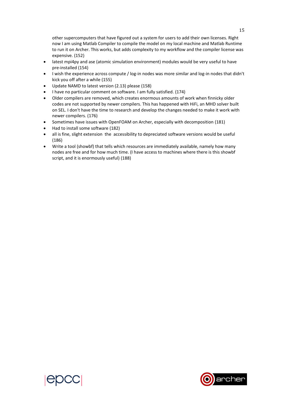other supercomputers that have figured out a system for users to add their own licenses. Right now I am using Matlab Compiler to compile the model on my local machine and Matlab Runtime to run it on Archer. This works, but adds complexity to my workflow and the compiler license was expensive. (152)

- latest mpi4py and ase (atomic simulation environment) modules would be very useful to have pre-installed (154)
- I wish the experience across compute / log-in nodes was more similar and log-in nodes that didn't kick you off after a while (155)
- Update NAMD to latest version (2.13) please (158)
- I have no particular comment on software. I am fully satisfied. (174)
- Older compilers are removed, which creates enormous amounts of work when finnicky older codes are not supported by newer compilers. This has happened with HiFi, an MHD solver built on SEL. I don't have the time to research and develop the changes needed to make it work with newer compilers. (176)
- Sometimes have issues with OpenFOAM on Archer, especially with decomposition (181)
- Had to install some software (182)
- all is fine, slight extension the accessibility to depreciated software versions would be useful (186)
- Write a tool (showbf) that tells which resources are immediately available, namely how many nodes are free and for how much time. (I have access to machines where there is this showbf script, and it is enormously useful) (188)



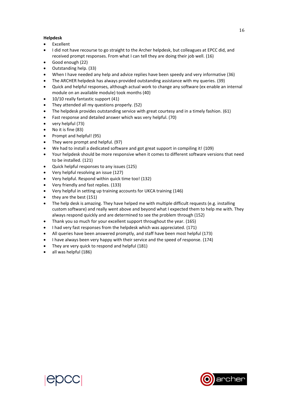#### **Helpdesk**

- Excellent
- I did not have recourse to go straight to the Archer helpdesk, but colleagues at EPCC did, and received prompt responses. From what I can tell they are doing their job well. (16)
- Good enough (22)
- Outstanding help. (33)
- When I have needed any help and advice replies have been speedy and very informative (36)
- The ARCHER helpdesk has always provided outstanding assistance with my queries. (39)
- Quick and helpful responses, although actual work to change any software (ex enable an internal module on an available module) took months (40)
- 10/10 really fantastic support (41)
- They attended all my questions properly. (52)
- The helpdesk provides outstanding service with great courtesy and in a timely fashion. (61)
- Fast response and detailed answer which was very helpful. (70)
- very helpful (73)
- No it is fine (83)
- Prompt and helpful! (95)
- They were prompt and helpful. (97)
- We had to install a dedicated software and got great support in compiling it! (109)
- Your helpdesk should be more responsive when it comes to different software versions that need to be installed. (121)
- Quick helpful responses to any issues (125)
- Very helpful resolving an issue (127)
- Very helpful. Respond within quick time too! (132)
- Very friendly and fast replies. (133)
- Very helpful in setting up training accounts for UKCA training (146)
- they are the best (151)
- The help desk is amazing. They have helped me with multiple difficult requests (e.g. installing custom software) and really went above and beyond what I expected them to help me with. They always respond quickly and are determined to see the problem through (152)
- Thank you so much for your excellent support throughout the year. (165)
- I had very fast responses from the helpdesk which was appreciated. (171)
- All queries have been answered promptly, and staff have been most helpful (173)
- I have always been very happy with their service and the speed of response. (174)
- They are very quick to respond and helpful (181)
- all was helpful (186)



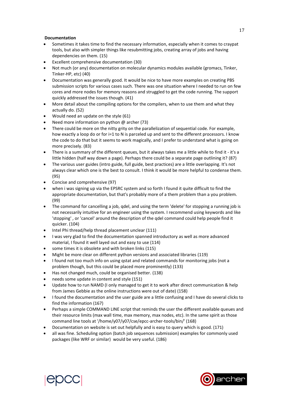#### **Documentation**

- Sometimes it takes time to find the necessary information, especially when it comes to craypat tools, but also with simpler things like resubmitting jobs, creating array of jobs and having dependencies on them. (15)
- Excellent comprehensive documentation (30)
- Not much (or any) documentation on molecular dynamics modules available (gromacs, Tinker, Tinker-HP, etc) (40)
- Documentation was generally good. It would be nice to have more examples on creating PBS submission scripts for various cases such. There was one situation where I needed to run on few cores and more nodes for memory reasons and struggled to get the code running. The support quickly addressed the issues though. (41)
- More detail about the compiling options for the compilers, when to use them and what they actually do. (52)
- Would need an update on the style (61)
- Need more information on python @ archer (73)
- There could be more on the nitty grity on the parallelization of sequential code. For example, how exactly a loop do or for i=1 to N is parceled up and sent to the different processors. I know the code to do that but it seems to work magically, and I prefer to understand what is going on more precisely. (83)
- There is a summary of the different queues, but it always takes me a little while to find it it's a little hidden (half way down a page). Perhaps there could be a separate page outlining it? (87)
- The various user guides (intro guide, full guide, best practices) are a little overlapping. It's not always clear which one is the best to consult. I think it would be more helpful to condense them. (95)
- Concise and comprehensive (97)
- when i was signing up via the EPSRC system and so forth I found it quite difficult to find the appropriate documentation, but that's probably more of a them problem than a you problem. (99)
- The command for cancelling a job, qdel, and using the term 'delete' for stopping a running job is not necessarily intuitive for an engineer using the system. I recommend using keywords and like 'stopping' , or 'cancel' around the description of the qdel command could help people find it quicker. (104)
- Intel Phi thread/help thread placement unclear (111)
- I was very glad to find the documentation spanned introductory as well as more advanced material, I found it well layed out and easy to use (114)
- some times it is obsolete and with broken links (115)
- Might be more clear on different python versions and associated libraries (119)
- I found not too much info on using qstat and related commands for monitoring jobs (not a problem though, but this could be placed more prominently) (133)
- Has not changed much, could be organised better. (138)
- needs some update in content and style (151)
- Update how to run NAMD (I only managed to get it to work after direct communication & help from James Gebbie as the online instructions were out of date) (158)
- I found the documentation and the user guide are a little confusing and I have do several clicks to find the information (167)
- Perhaps a simple COMMAND LINE script that reminds the user the different available queues and their resource limits (max wall time, max memory, max nodes, etc). In the same spirit as those command line tools at '/home/y07/y07/cse/epcc-archer-tools/bin/' (168)
- Documentation on website is set out helpfully and is easy to query which is good. (171)
- all was fine. Scheduling option (batch job sequences submission) examples for commonly used packages (like WRF or similar) would be very useful. (186)



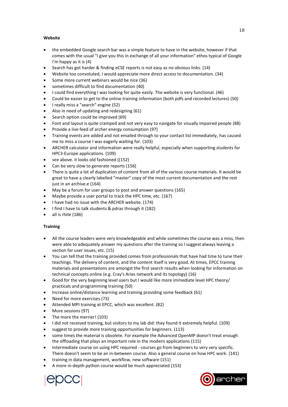#### **Website**

- the embedded Google search bar was a simple feature to have in the website, however if that comes with the usual "I give you this in exchange of all your information" ethos typical of Google I'm happy as it is (4)
- Search has got harder & finding eCSE reports is not easy as no obvious links. (14)
- Website too convoluted, I would appreciate more direct access to documentation. (34)
- Some more current webinars would be nice (36)
- sometimes difficult to find documentation (40)
- I could find everything I was looking for quite easily. The website is very functional. (46)
- Could be easier to get to the online training information (both pdfs and recorded lectures) (50)
- I really miss a "search" engine (52)
- Also in need of updating and redesigning (61)
- Search option could be improved (69)
- Font and layout is quite cramped and not very easy to navigate for visually impaired people (88)
- Provide a live feed of archer energy consumption (97)
- Training events are added and not emailed through to your contact list immediately, has caused me to miss a course I was eagerly waiting for. (103)
- ARCHER calculator and information were really helpful, especially when supporting students for HPC3-Europe applications. (109)
- see above. it looks old fashioned ((152)
- Can be very slow to generate reports (156)
- There is quite a lot of duplication of content from all of the various course materials. It would be great to have a clearly labelled "master" copy of the most current documentation and the rest just in an archive.e (164)
- May be a forum for user groups to post and answer questions (165)
- Maybe provide a user portal to track the HPC time, etc. (167)
- I have had no issue with the ARCHER website. (174)
- I find I have to talk students & pdras through it (182)
- all is rhite (186)

#### **Training**

- All the course leaders were very knowledgeable and while sometimes the course was a miss, then were able to adequately answer my questions after the training so I suggest always leaving a section for user issues, etc. (15)
- You can tell that the training provided comes from professionals that have had time to tune their teachings. The delivery of content, and the content itself is very good. At times, EPCC training materials and presentations are amongst the first search results when looking for information on technical concepts online (e.g. Cray's Aries network and its topology) (16)
- Good for the very beginning level users but I would like more immediate level HPC theory/ practicals and programming training (50)
- Increase online/distance learning and training providing some feedback (61)
- Need for more exercises (73)
- Attended MPI training at EPCC, which was excellent. (82)
- More sessions (97)
- The more the merrier! (103)
- I did not received training, but visitors to my lab did: they found it extremely helpful. (109)
- suggest to provide more training opportunities for beginners. (113)
- some times the material is obsolete. For example the Advanced OpenMP doesn't treat enough the offloading that plays an important role in the modern applications (115)
- Intermediate course on using HPC required courses go from beginners to very very specific. There doesn't seem to be an in-between course. Also a general course on how HPC work. (141)
- training in data management, workflow, new software (151)
- A more in-depth python course would be much appreciated (153)



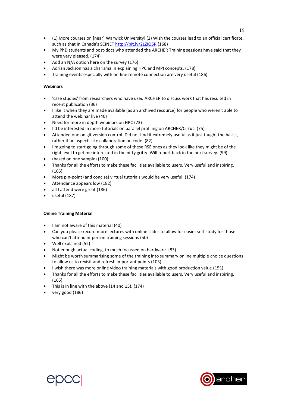- (1) More courses on [near] Warwick University! (2) Wish the courses lead to an official certificate, such as that in Canada's SCINET<http://bit.ly/2LZIQ5R> (168)
- My PhD students and post-docs who attended the ARCHER Training sessions have said that they were very pleased. (174)
- Add an N/A option here on the survey (176)
- Adrian Jackson has a charisma in explaining HPC and MPI concepts. (178)
- Training events especially with on-line remote connection are very useful (186)

#### **Webinars**

- 'case studies' from researchers who have used ARCHER to discuss work that has resulted in recent publication (36)
- I like it when they are made available (as an archived resource) for people who weren't able to attend the webinar live (40)
- Need for more in depth webinars on HPC (73)
- I'd be interested in more tutorials on parallel profiling on ARCHER/Cirrus. (75)
- Attended one on git version control. Did not find it extremely useful as it just taught the basics, rather than aspects like collaboration on code. (82)
- I'm going to start going through some of these RSE ones as they look like they might be of the right level to get me interested in the nitty gritty. Will report back in the next survey. (99)
- (based on one sample) (100)
- Thanks for all the efforts to make these facilities available to users. Very useful and inspiring. (165)
- More pin-point (and concise) virtual tutorials would be very useful. (174)
- Attendance appears low (182)
- all I attend were great (186)
- useful (187)

#### **Online Training Material**

- I am not aware of this material (40)
- Can you please record more lectures with online slides to allow for easier self-study for those who can't attend in-person training sessions (50)
- Well explained (52)
- Not enough actual coding, to much focussed on hardware. (83)
- Might be worth summarising some of the training into summary online multiple choice questions to allow us to revisit and refresh important points (103)
- I wish there was more online video training materials with good production value (151)
- Thanks for all the efforts to make these facilities available to users. Very useful and inspiring. (165)
- This is in line with the above (14 and 15). (174)
- very good (186)